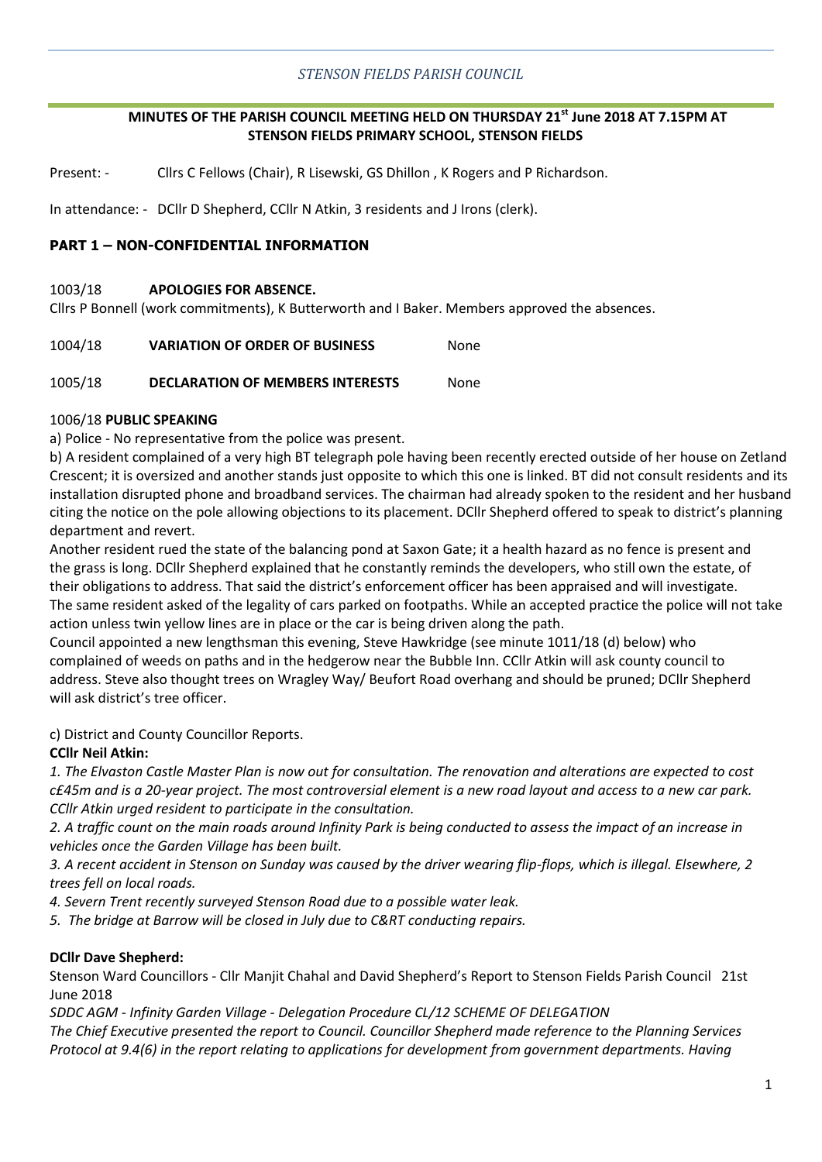## *STENSON FIELDS PARISH COUNCIL*

## **MINUTES OF THE PARISH COUNCIL MEETING HELD ON THURSDAY 21st June 2018 AT 7.15PM AT STENSON FIELDS PRIMARY SCHOOL, STENSON FIELDS**

Present: - Cllrs C Fellows (Chair), R Lisewski, GS Dhillon, K Rogers and P Richardson.

In attendance: - DCllr D Shepherd, CCllr N Atkin, 3 residents and J Irons (clerk).

### **PART 1 – NON-CONFIDENTIAL INFORMATION**

### 1003/18 **APOLOGIES FOR ABSENCE.**

Cllrs P Bonnell (work commitments), K Butterworth and I Baker. Members approved the absences.

| <b>VARIATION OF ORDER OF BUSINESS</b> | None |
|---------------------------------------|------|
|                                       |      |

1005/18 **DECLARATION OF MEMBERS INTERESTS** None

### 1006/18 **PUBLIC SPEAKING**

a) Police - No representative from the police was present.

b) A resident complained of a very high BT telegraph pole having been recently erected outside of her house on Zetland Crescent; it is oversized and another stands just opposite to which this one is linked. BT did not consult residents and its installation disrupted phone and broadband services. The chairman had already spoken to the resident and her husband citing the notice on the pole allowing objections to its placement. DCllr Shepherd offered to speak to district's planning department and revert.

Another resident rued the state of the balancing pond at Saxon Gate; it a health hazard as no fence is present and the grass is long. DCllr Shepherd explained that he constantly reminds the developers, who still own the estate, of their obligations to address. That said the district's enforcement officer has been appraised and will investigate. The same resident asked of the legality of cars parked on footpaths. While an accepted practice the police will not take action unless twin yellow lines are in place or the car is being driven along the path.

Council appointed a new lengthsman this evening, Steve Hawkridge (see minute 1011/18 (d) below) who complained of weeds on paths and in the hedgerow near the Bubble Inn. CCllr Atkin will ask county council to address. Steve also thought trees on Wragley Way/ Beufort Road overhang and should be pruned; DCllr Shepherd will ask district's tree officer.

c) District and County Councillor Reports.

### **CCllr Neil Atkin:**

*1. The Elvaston Castle Master Plan is now out for consultation. The renovation and alterations are expected to cost c£45m and is a 20-year project. The most controversial element is a new road layout and access to a new car park. CCllr Atkin urged resident to participate in the consultation.* 

*2. A traffic count on the main roads around Infinity Park is being conducted to assess the impact of an increase in vehicles once the Garden Village has been built.* 

*3. A recent accident in Stenson on Sunday was caused by the driver wearing flip-flops, which is illegal. Elsewhere, 2 trees fell on local roads.* 

*4. Severn Trent recently surveyed Stenson Road due to a possible water leak.* 

*5. The bridge at Barrow will be closed in July due to C&RT conducting repairs.* 

## **DCllr Dave Shepherd:**

Stenson Ward Councillors - Cllr Manjit Chahal and David Shepherd's Report to Stenson Fields Parish Council 21st June 2018

*SDDC AGM - Infinity Garden Village - Delegation Procedure CL/12 SCHEME OF DELEGATION* 

*The Chief Executive presented the report to Council. Councillor Shepherd made reference to the Planning Services Protocol at 9.4(6) in the report relating to applications for development from government departments. Having*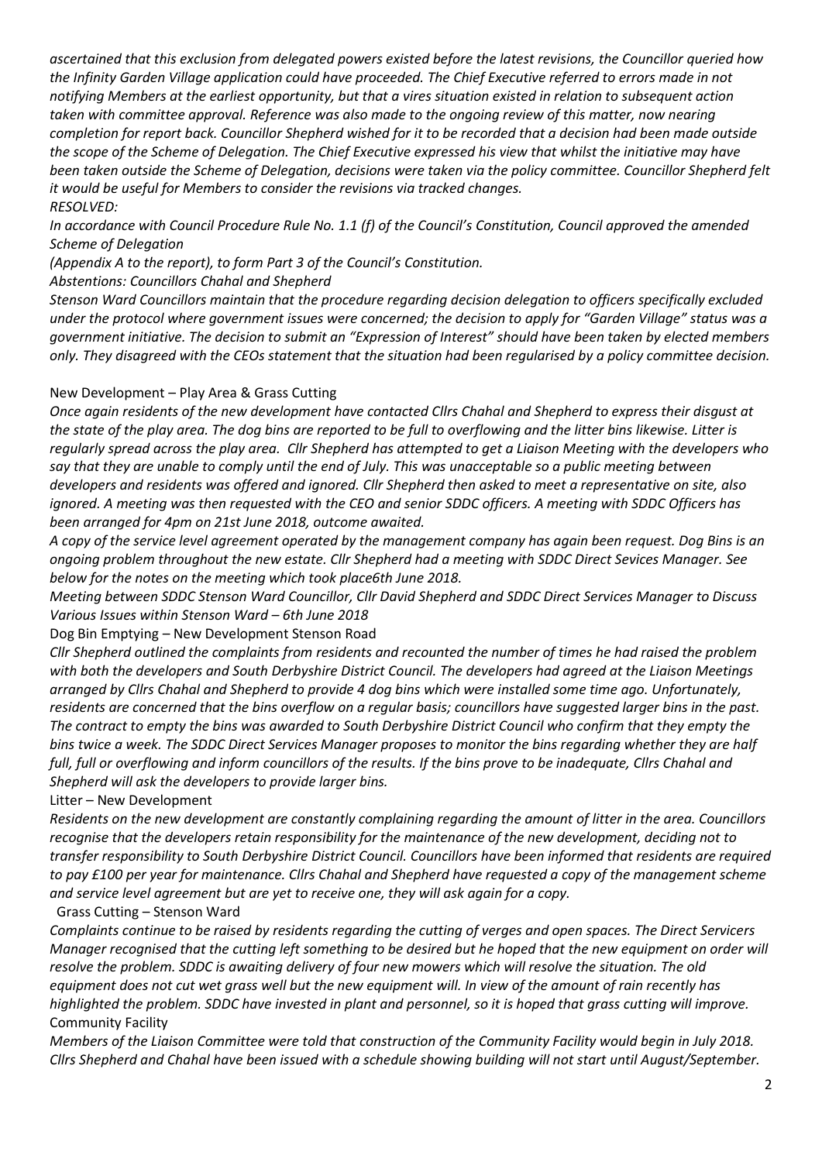*ascertained that this exclusion from delegated powers existed before the latest revisions, the Councillor queried how the Infinity Garden Village application could have proceeded. The Chief Executive referred to errors made in not notifying Members at the earliest opportunity, but that a vires situation existed in relation to subsequent action taken with committee approval. Reference was also made to the ongoing review of this matter, now nearing completion for report back. Councillor Shepherd wished for it to be recorded that a decision had been made outside the scope of the Scheme of Delegation. The Chief Executive expressed his view that whilst the initiative may have been taken outside the Scheme of Delegation, decisions were taken via the policy committee. Councillor Shepherd felt it would be useful for Members to consider the revisions via tracked changes. RESOLVED:* 

*In accordance with Council Procedure Rule No. 1.1 (f) of the Council's Constitution, Council approved the amended Scheme of Delegation* 

*(Appendix A to the report), to form Part 3 of the Council's Constitution.* 

*Abstentions: Councillors Chahal and Shepherd* 

*Stenson Ward Councillors maintain that the procedure regarding decision delegation to officers specifically excluded under the protocol where government issues were concerned; the decision to apply for "Garden Village" status was a government initiative. The decision to submit an "Expression of Interest" should have been taken by elected members only. They disagreed with the CEOs statement that the situation had been regularised by a policy committee decision.* 

## New Development – Play Area & Grass Cutting

*Once again residents of the new development have contacted Cllrs Chahal and Shepherd to express their disgust at the state of the play area. The dog bins are reported to be full to overflowing and the litter bins likewise. Litter is regularly spread across the play area. Cllr Shepherd has attempted to get a Liaison Meeting with the developers who say that they are unable to comply until the end of July. This was unacceptable so a public meeting between developers and residents was offered and ignored. Cllr Shepherd then asked to meet a representative on site, also ignored. A meeting was then requested with the CEO and senior SDDC officers. A meeting with SDDC Officers has been arranged for 4pm on 21st June 2018, outcome awaited.*

*A copy of the service level agreement operated by the management company has again been request. Dog Bins is an ongoing problem throughout the new estate. Cllr Shepherd had a meeting with SDDC Direct Sevices Manager. See below for the notes on the meeting which took place6th June 2018.*

*Meeting between SDDC Stenson Ward Councillor, Cllr David Shepherd and SDDC Direct Services Manager to Discuss Various Issues within Stenson Ward – 6th June 2018*

### Dog Bin Emptying – New Development Stenson Road

*Cllr Shepherd outlined the complaints from residents and recounted the number of times he had raised the problem with both the developers and South Derbyshire District Council. The developers had agreed at the Liaison Meetings arranged by Cllrs Chahal and Shepherd to provide 4 dog bins which were installed some time ago. Unfortunately, residents are concerned that the bins overflow on a regular basis; councillors have suggested larger bins in the past. The contract to empty the bins was awarded to South Derbyshire District Council who confirm that they empty the bins twice a week. The SDDC Direct Services Manager proposes to monitor the bins regarding whether they are half full, full or overflowing and inform councillors of the results. If the bins prove to be inadequate, Cllrs Chahal and Shepherd will ask the developers to provide larger bins.* 

### Litter – New Development

*Residents on the new development are constantly complaining regarding the amount of litter in the area. Councillors recognise that the developers retain responsibility for the maintenance of the new development, deciding not to transfer responsibility to South Derbyshire District Council. Councillors have been informed that residents are required to pay £100 per year for maintenance. Cllrs Chahal and Shepherd have requested a copy of the management scheme and service level agreement but are yet to receive one, they will ask again for a copy.* 

## Grass Cutting - Stenson Ward

*Complaints continue to be raised by residents regarding the cutting of verges and open spaces. The Direct Servicers Manager recognised that the cutting left something to be desired but he hoped that the new equipment on order will resolve the problem. SDDC is awaiting delivery of four new mowers which will resolve the situation. The old equipment does not cut wet grass well but the new equipment will. In view of the amount of rain recently has highlighted the problem. SDDC have invested in plant and personnel, so it is hoped that grass cutting will improve.* Community Facility

*Members of the Liaison Committee were told that construction of the Community Facility would begin in July 2018. Cllrs Shepherd and Chahal have been issued with a schedule showing building will not start until August/September.*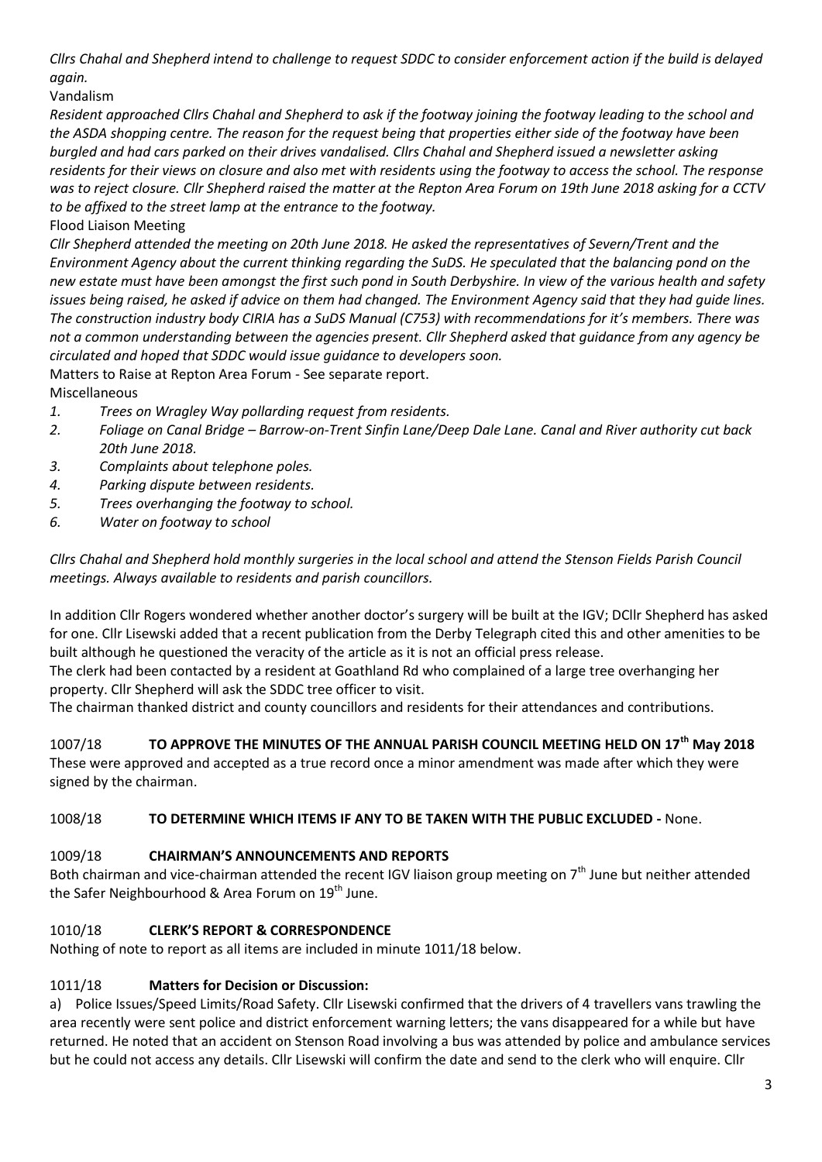*Cllrs Chahal and Shepherd intend to challenge to request SDDC to consider enforcement action if the build is delayed again.*

Vandalism

*Resident approached Cllrs Chahal and Shepherd to ask if the footway joining the footway leading to the school and the ASDA shopping centre. The reason for the request being that properties either side of the footway have been burgled and had cars parked on their drives vandalised. Cllrs Chahal and Shepherd issued a newsletter asking residents for their views on closure and also met with residents using the footway to access the school. The response was to reject closure. Cllr Shepherd raised the matter at the Repton Area Forum on 19th June 2018 asking for a CCTV to be affixed to the street lamp at the entrance to the footway.*

## Flood Liaison Meeting

*Cllr Shepherd attended the meeting on 20th June 2018. He asked the representatives of Severn/Trent and the Environment Agency about the current thinking regarding the SuDS. He speculated that the balancing pond on the new estate must have been amongst the first such pond in South Derbyshire. In view of the various health and safety issues being raised, he asked if advice on them had changed. The Environment Agency said that they had quide lines. The construction industry body CIRIA has a SuDS Manual (C753) with recommendations for it's members. There was not a common understanding between the agencies present. Cllr Shepherd asked that guidance from any agency be circulated and hoped that SDDC would issue guidance to developers soon.*

Matters to Raise at Repton Area Forum - See separate report. Miscellaneous

- *1. Trees on Wragley Way pollarding request from residents.*
- *2. Foliage on Canal Bridge – Barrow-on-Trent Sinfin Lane/Deep Dale Lane. Canal and River authority cut back 20th June 2018.*
- *3. Complaints about telephone poles.*
- *4. Parking dispute between residents.*
- *5. Trees overhanging the footway to school.*
- *6. Water on footway to school*

*Cllrs Chahal and Shepherd hold monthly surgeries in the local school and attend the Stenson Fields Parish Council meetings. Always available to residents and parish councillors.*

In addition Cllr Rogers wondered whether another doctor's surgery will be built at the IGV; DCllr Shepherd has asked for one. Cllr Lisewski added that a recent publication from the Derby Telegraph cited this and other amenities to be built although he questioned the veracity of the article as it is not an official press release.

The clerk had been contacted by a resident at Goathland Rd who complained of a large tree overhanging her property. Cllr Shepherd will ask the SDDC tree officer to visit.

The chairman thanked district and county councillors and residents for their attendances and contributions.

# 1007/18 **TO APPROVE THE MINUTES OF THE ANNUAL PARISH COUNCIL MEETING HELD ON 17th May 2018**

These were approved and accepted as a true record once a minor amendment was made after which they were signed by the chairman.

## 1008/18 **TO DETERMINE WHICH ITEMS IF ANY TO BE TAKEN WITH THE PUBLIC EXCLUDED -** None.

## 1009/18 **CHAIRMAN'S ANNOUNCEMENTS AND REPORTS**

Both chairman and vice-chairman attended the recent IGV liaison group meeting on  $7<sup>th</sup>$  June but neither attended the Safer Neighbourhood & Area Forum on 19<sup>th</sup> June.

## 1010/18 **CLERK'S REPORT & CORRESPONDENCE**

Nothing of note to report as all items are included in minute 1011/18 below.

## 1011/18 **Matters for Decision or Discussion:**

a) Police Issues/Speed Limits/Road Safety. Cllr Lisewski confirmed that the drivers of 4 travellers vans trawling the area recently were sent police and district enforcement warning letters; the vans disappeared for a while but have returned. He noted that an accident on Stenson Road involving a bus was attended by police and ambulance services but he could not access any details. Cllr Lisewski will confirm the date and send to the clerk who will enquire. Cllr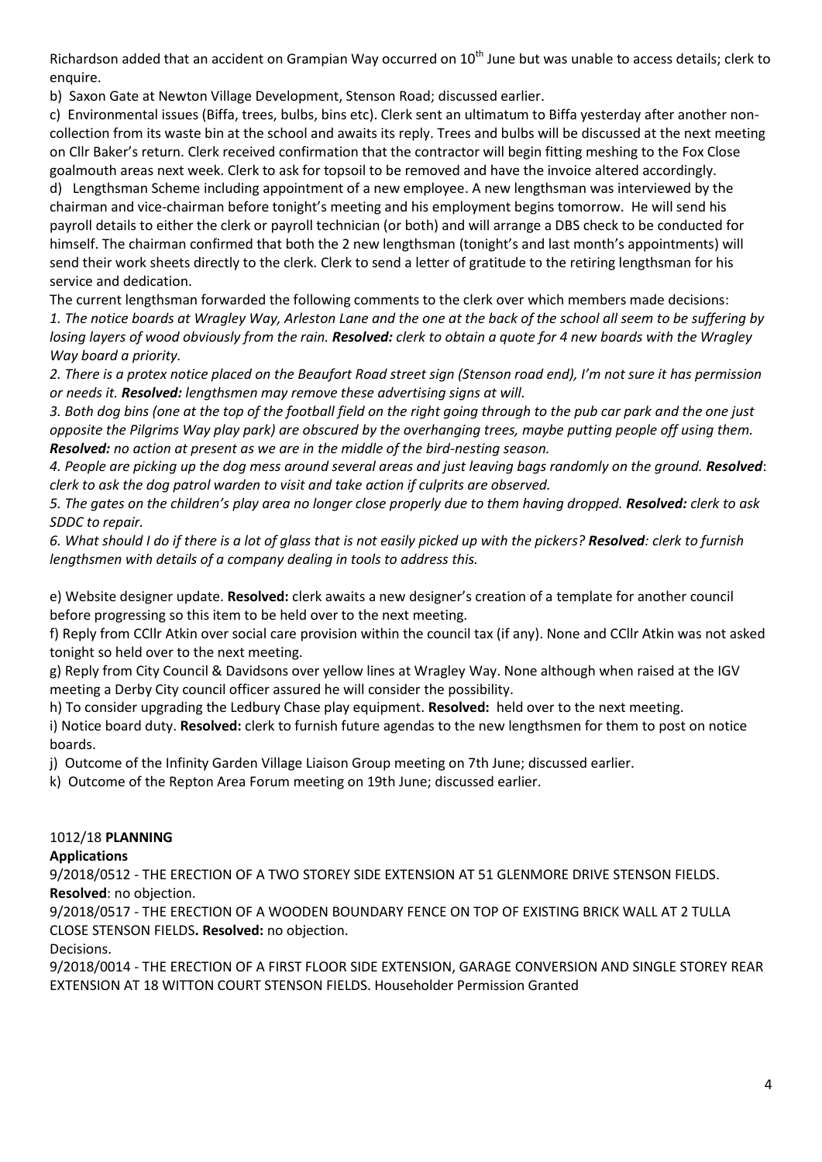Richardson added that an accident on Grampian Way occurred on 10<sup>th</sup> June but was unable to access details; clerk to enquire.

b) Saxon Gate at Newton Village Development, Stenson Road; discussed earlier.

c) Environmental issues (Biffa, trees, bulbs, bins etc). Clerk sent an ultimatum to Biffa yesterday after another noncollection from its waste bin at the school and awaits its reply. Trees and bulbs will be discussed at the next meeting on Cllr Baker's return. Clerk received confirmation that the contractor will begin fitting meshing to the Fox Close goalmouth areas next week. Clerk to ask for topsoil to be removed and have the invoice altered accordingly. d) Lengthsman Scheme including appointment of a new employee. A new lengthsman was interviewed by the chairman and vice-chairman before tonight's meeting and his employment begins tomorrow. He will send his payroll details to either the clerk or payroll technician (or both) and will arrange a DBS check to be conducted for

himself. The chairman confirmed that both the 2 new lengthsman (tonight's and last month's appointments) will send their work sheets directly to the clerk. Clerk to send a letter of gratitude to the retiring lengthsman for his service and dedication.

The current lengthsman forwarded the following comments to the clerk over which members made decisions: *1. The notice boards at Wragley Way, Arleston Lane and the one at the back of the school all seem to be suffering by losing layers of wood obviously from the rain. Resolved: clerk to obtain a quote for 4 new boards with the Wragley Way board a priority.* 

*2. There is a protex notice placed on the Beaufort Road street sign (Stenson road end), I'm not sure it has permission or needs it. Resolved: lengthsmen may remove these advertising signs at will.* 

*3. Both dog bins (one at the top of the football field on the right going through to the pub car park and the one just opposite the Pilgrims Way play park) are obscured by the overhanging trees, maybe putting people off using them. Resolved: no action at present as we are in the middle of the bird-nesting season.* 

*4. People are picking up the dog mess around several areas and just leaving bags randomly on the ground. Resolved*: *clerk to ask the dog patrol warden to visit and take action if culprits are observed.* 

*5. The gates on the children's play area no longer close properly due to them having dropped. Resolved: clerk to ask SDDC to repair.* 

*6. What should I do if there is a lot of glass that is not easily picked up with the pickers? Resolved: clerk to furnish lengthsmen with details of a company dealing in tools to address this.* 

e) Website designer update. **Resolved:** clerk awaits a new designer's creation of a template for another council before progressing so this item to be held over to the next meeting.

f) Reply from CCllr Atkin over social care provision within the council tax (if any). None and CCllr Atkin was not asked tonight so held over to the next meeting.

g) Reply from City Council & Davidsons over yellow lines at Wragley Way. None although when raised at the IGV meeting a Derby City council officer assured he will consider the possibility.

h) To consider upgrading the Ledbury Chase play equipment. **Resolved:** held over to the next meeting.

i) Notice board duty. **Resolved:** clerk to furnish future agendas to the new lengthsmen for them to post on notice boards.

j) Outcome of the Infinity Garden Village Liaison Group meeting on 7th June; discussed earlier.

k) Outcome of the Repton Area Forum meeting on 19th June; discussed earlier.

## 1012/18 **PLANNING**

## **Applications**

9/2018/0512 - THE ERECTION OF A TWO STOREY SIDE EXTENSION AT 51 GLENMORE DRIVE STENSON FIELDS. **Resolved**: no objection.

9/2018/0517 - THE ERECTION OF A WOODEN BOUNDARY FENCE ON TOP OF EXISTING BRICK WALL AT 2 TULLA CLOSE STENSON FIELDS**. Resolved:** no objection.

Decisions.

9/2018/0014 - THE ERECTION OF A FIRST FLOOR SIDE EXTENSION, GARAGE CONVERSION AND SINGLE STOREY REAR EXTENSION AT 18 WITTON COURT STENSON FIELDS. Householder Permission Granted